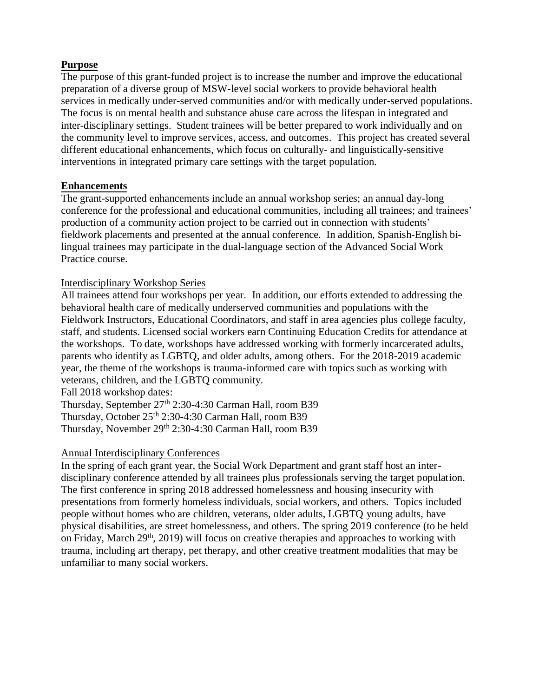# **Purpose**

The purpose of this grant-funded project is to increase the number and improve the educational preparation of a diverse group of MSW-level social workers to provide behavioral health services in medically under-served communities and/or with medically under-served populations. The focus is on mental health and substance abuse care across the lifespan in integrated and inter-disciplinary settings. Student trainees will be better prepared to work individually and on the community level to improve services, access, and outcomes. This project has created several different educational enhancements, which focus on culturally- and linguistically-sensitive interventions in integrated primary care settings with the target population.

# **Enhancements**

The grant-supported enhancements include an annual workshop series; an annual day-long conference for the professional and educational communities, including all trainees; and trainees' production of a community action project to be carried out in connection with students' fieldwork placements and presented at the annual conference. In addition, Spanish-English bilingual trainees may participate in the dual-language section of the Advanced Social Work Practice course.

# Interdisciplinary Workshop Series

All trainees attend four workshops per year. In addition, our efforts extended to addressing the behavioral health care of medically underserved communities and populations with the Fieldwork Instructors, Educational Coordinators, and staff in area agencies plus college faculty, staff, and students. Licensed social workers earn Continuing Education Credits for attendance at the workshops. To date, workshops have addressed working with formerly incarcerated adults, parents who identify as LGBTQ, and older adults, among others. For the 2018-2019 academic year, the theme of the workshops is trauma-informed care with topics such as working with veterans, children, and the LGBTQ community.

Fall 2018 workshop dates:

Thursday, September 27<sup>th</sup> 2:30-4:30 Carman Hall, room B39 Thursday, October  $25<sup>th</sup> 2:30-4:30$  Carman Hall, room B39 Thursday, November 29th 2:30-4:30 Carman Hall, room B39

# Annual Interdisciplinary Conferences

In the spring of each grant year, the Social Work Department and grant staff host an interdisciplinary conference attended by all trainees plus professionals serving the target population. The first conference in spring 2018 addressed homelessness and housing insecurity with presentations from formerly homeless individuals, social workers, and others. Topics included people without homes who are children, veterans, older adults, LGBTQ young adults, have physical disabilities, are street homelessness, and others. The spring 2019 conference (to be held on Friday, March  $29<sup>th</sup>$ ,  $2019$ ) will focus on creative therapies and approaches to working with trauma, including art therapy, pet therapy, and other creative treatment modalities that may be unfamiliar to many social workers.